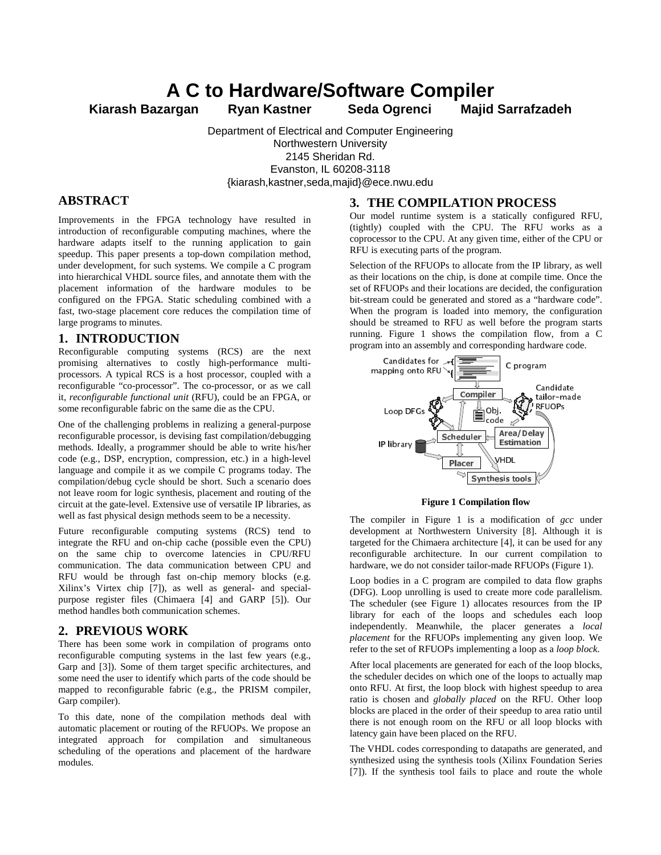# **A C to Hardware/Software Compiler**

**Kiarash Bazargan Ryan Kastner Seda Ogrenci Majid Sarrafzadeh**

Department of Electrical and Computer Engineering Northwestern University 2145 Sheridan Rd. Evanston, IL 60208-3118 {kiarash,kastner,seda,majid}@ece.nwu.edu

## **ABSTRACT**

Improvements in the FPGA technology have resulted in introduction of reconfigurable computing machines, where the hardware adapts itself to the running application to gain speedup. This paper presents a top-down compilation method, under development, for such systems. We compile a C program into hierarchical VHDL source files, and annotate them with the placement information of the hardware modules to be configured on the FPGA. Static scheduling combined with a fast, two-stage placement core reduces the compilation time of large programs to minutes.

## **1. INTRODUCTION**

Reconfigurable computing systems (RCS) are the next promising alternatives to costly high-performance multiprocessors. A typical RCS is a host processor, coupled with a reconfigurable "co-processor". The co-processor, or as we call it, *reconfigurable functional unit* (RFU), could be an FPGA, or some reconfigurable fabric on the same die as the CPU.

One of the challenging problems in realizing a general-purpose reconfigurable processor, is devising fast compilation/debugging methods. Ideally, a programmer should be able to write his/her code (e.g., DSP, encryption, compression, etc.) in a high-level language and compile it as we compile C programs today. The compilation/debug cycle should be short. Such a scenario does not leave room for logic synthesis, placement and routing of the circuit at the gate-level. Extensive use of versatile IP libraries, as well as fast physical design methods seem to be a necessity.

Future reconfigurable computing systems (RCS) tend to integrate the RFU and on-chip cache (possible even the CPU) on the same chip to overcome latencies in CPU/RFU communication. The data communication between CPU and RFU would be through fast on-chip memory blocks (e.g. Xilinx's Virtex chip [7]), as well as general- and specialpurpose register files (Chimaera [4] and GARP [5]). Our method handles both communication schemes.

# **2. PREVIOUS WORK**

There has been some work in compilation of programs onto reconfigurable computing systems in the last few years (e.g., Garp and [3]). Some of them target specific architectures, and some need the user to identify which parts of the code should be mapped to reconfigurable fabric (e.g., the PRISM compiler, Garp compiler).

To this date, none of the compilation methods deal with automatic placement or routing of the RFUOPs. We propose an integrated approach for compilation and simultaneous scheduling of the operations and placement of the hardware modules.

### **3. THE COMPILATION PROCESS**

Our model runtime system is a statically configured RFU, (tightly) coupled with the CPU. The RFU works as a coprocessor to the CPU. At any given time, either of the CPU or RFU is executing parts of the program.

Selection of the RFUOPs to allocate from the IP library, as well as their locations on the chip, is done at compile time. Once the set of RFUOPs and their locations are decided, the configuration bit-stream could be generated and stored as a "hardware code". When the program is loaded into memory, the configuration should be streamed to RFU as well before the program starts running. Figure 1 shows the compilation flow, from a C program into an assembly and corresponding hardware code.



**Figure 1 Compilation flow**

The compiler in Figure 1 is a modification of *gcc* under development at Northwestern University [8]. Although it is targeted for the Chimaera architecture [4], it can be used for any reconfigurable architecture. In our current compilation to hardware, we do not consider tailor-made RFUOPs (Figure 1).

Loop bodies in a C program are compiled to data flow graphs (DFG). Loop unrolling is used to create more code parallelism. The scheduler (see Figure 1) allocates resources from the IP library for each of the loops and schedules each loop independently. Meanwhile, the placer generates a *local placement* for the RFUOPs implementing any given loop. We refer to the set of RFUOPs implementing a loop as a *loop block*.

After local placements are generated for each of the loop blocks, the scheduler decides on which one of the loops to actually map onto RFU. At first, the loop block with highest speedup to area ratio is chosen and *globally placed* on the RFU. Other loop blocks are placed in the order of their speedup to area ratio until there is not enough room on the RFU or all loop blocks with latency gain have been placed on the RFU.

The VHDL codes corresponding to datapaths are generated, and synthesized using the synthesis tools (Xilinx Foundation Series [7]). If the synthesis tool fails to place and route the whole